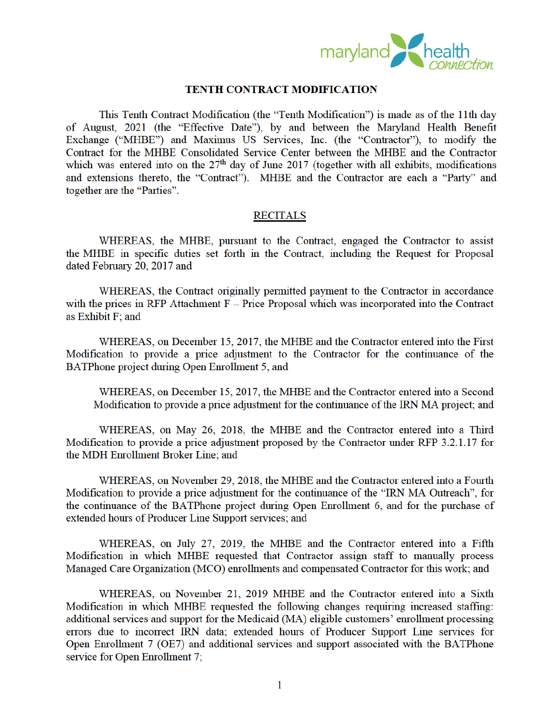

## **TENTH CONTRACT MODIFICATION**

This Tenth Contract Modification (the "Tenth Modification") is made as of the 11th day of August, 2021 (the "Effective Date"), by and between the Maryland Health Benefit Exchange ("MHBE") and Maximus US Services, Inc. (the "Contractor"), to modify the Contract for the MHBE Consolidated Service Center between the MHBE and the Contractor which was entered into on the  $27<sup>th</sup>$  day of June 2017 (together with all exhibits, modifications and extensions thereto, the "Contract"). MHBE and the Contractor are each a "Party" and together are the "Parties".

## **RECITALS**

WHEREAS, the MHBE, pursuant to the Contract, engaged the Contractor to assist the MHBE in specific duties set forth in the Contract, including the Request for Proposal dated February 20, 2017 and

WHEREAS, the Contract originally permitted payment to the Contractor in accordance with the prices in RFP Attachment  $F -$ Price Proposal which was incorporated into the Contract as Exhibit F; and

WHEREAS, on December 15, 2017, the MHBE and the Contractor entered into the First Modification to provide a price adjustment to the Contractor for the continuance of the BATPhone project during Open Enrollment 5, and

WHEREAS, on December 15, 2017, the MHBE and the Contractor entered into a Second Modification to provide a price adjustment for the continuance of the IRN MA project; and

WHEREAS, on May 26, 2018, the MHBE and the Contractor entered into a Third Modification to provide a price adjustment proposed by the Contractor under RFP 3.2.1.17 for the MDH Enrollment Broker Line; and

WHEREAS, on November 29, 2018, the MHBE and the Contractor entered into a Fourth Modification to provide a price adjustment for the continuance of the "IRN MA Outreach", for the continuance of the BATPhone project during Open Enrollment 6, and for the purchase of extended hours of Producer Line Support services; and

WHEREAS, on July 27, 2019, the MHBE and the Contractor entered into a Fifth Modification in which MHBE requested that Contractor assign staff to manually process Managed Care Organization (MCO) enrollments and compensated Contractor for this work; and

WHEREAS, on November 21, 2019 MHBE and the Contractor entered into a Sixth Modification in which MHBE requested the following changes requiring increased staffing: additional services and support for the Medicaid (MA) eligible customers' enrollment processing errors due to incorrect IRN data; extended hours of Producer Support Line services for Open Enrollment 7 (OE7) and additional services and support associated with the BATPhone service for Open Enrollment 7;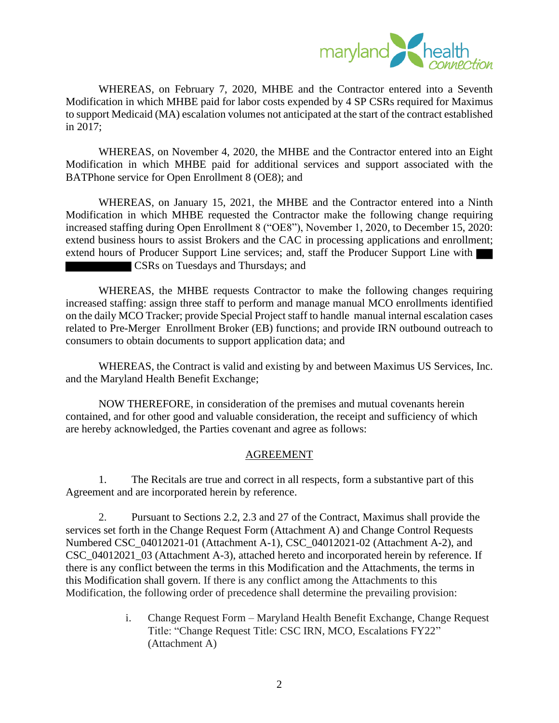

WHEREAS, on February 7, 2020, MHBE and the Contractor entered into a Seventh Modification in which MHBE paid for labor costs expended by 4 SP CSRs required for Maximus to support Medicaid (MA) escalation volumes not anticipated at the start of the contract established in 2017;

WHEREAS, on November 4, 2020, the MHBE and the Contractor entered into an Eight Modification in which MHBE paid for additional services and support associated with the BATPhone service for Open Enrollment 8 (OE8); and

WHEREAS, on January 15, 2021, the MHBE and the Contractor entered into a Ninth Modification in which MHBE requested the Contractor make the following change requiring increased staffing during Open Enrollment 8 ("OE8"), November 1, 2020, to December 15, 2020: extend business hours to assist Brokers and the CAC in processing applications and enrollment; extend hours of Producer Support Line services; and, staff the Producer Support Line with CSRs on Tuesdays and Thursdays; and

WHEREAS, the MHBE requests Contractor to make the following changes requiring increased staffing: assign three staff to perform and manage manual MCO enrollments identified on the daily MCO Tracker; provide Special Project staff to handle manual internal escalation cases related to Pre-Merger Enrollment Broker (EB) functions; and provide IRN outbound outreach to consumers to obtain documents to support application data; and

WHEREAS, the Contract is valid and existing by and between Maximus US Services, Inc. and the Maryland Health Benefit Exchange;

NOW THEREFORE, in consideration of the premises and mutual covenants herein contained, and for other good and valuable consideration, the receipt and sufficiency of which are hereby acknowledged, the Parties covenant and agree as follows:

## AGREEMENT

1. The Recitals are true and correct in all respects, form a substantive part of this Agreement and are incorporated herein by reference.

2. Pursuant to Sections 2.2, 2.3 and 27 of the Contract, Maximus shall provide the services set forth in the Change Request Form (Attachment A) and Change Control Requests Numbered CSC\_04012021-01 (Attachment A-1), CSC\_04012021-02 (Attachment A-2), and CSC\_04012021\_03 (Attachment A-3), attached hereto and incorporated herein by reference. If there is any conflict between the terms in this Modification and the Attachments, the terms in this Modification shall govern. If there is any conflict among the Attachments to this Modification, the following order of precedence shall determine the prevailing provision:

> i. Change Request Form – Maryland Health Benefit Exchange, Change Request Title: "Change Request Title: CSC IRN, MCO, Escalations FY22" (Attachment A)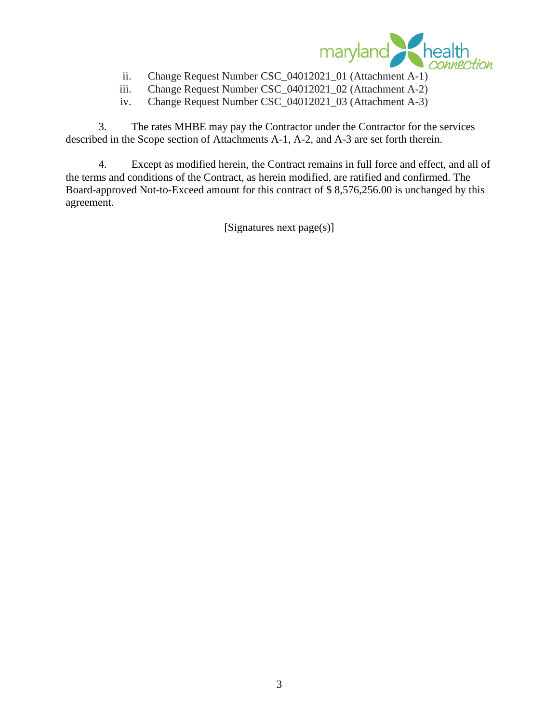

- ii. Change Request Number CSC\_04012021\_01 (Attachment A-1)
- iii. Change Request Number CSC\_04012021\_02 (Attachment A-2)
- iv. Change Request Number CSC\_04012021\_03 (Attachment A-3)

3. The rates MHBE may pay the Contractor under the Contractor for the services described in the Scope section of Attachments A-1, A-2, and A-3 are set forth therein.

4. Except as modified herein, the Contract remains in full force and effect, and all of the terms and conditions of the Contract, as herein modified, are ratified and confirmed. The Board-approved Not-to-Exceed amount for this contract of \$ 8,576,256.00 is unchanged by this agreement.

[Signatures next page(s)]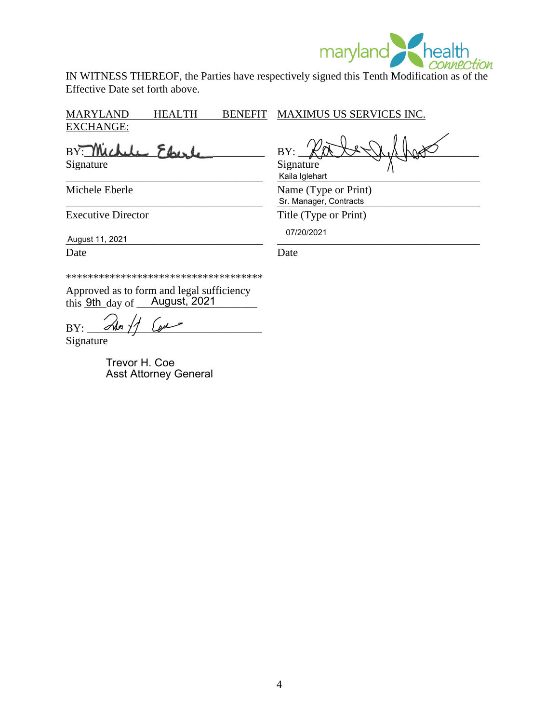

IN WITNESS THEREOF, the Parties have respectively signed this Tenth Modification as of the Effective Date set forth above.

MARYLAND HEALTH BENEFIT EXCHANGE:

 $BY:$  Michele Fhirl  $BY:$ Signature Signature Signature

Michele Eberle Name (Type or Print)

\_\_\_\_\_\_\_\_\_\_\_\_\_\_\_\_\_\_\_\_\_\_\_\_\_\_\_\_\_\_\_\_\_\_\_\_ \_\_\_\_\_\_\_\_\_\_\_\_\_\_\_\_\_\_\_\_\_\_\_\_\_\_\_\_\_\_\_\_\_\_\_\_\_ August 11, 2021

Date Date Date

\*\*\*\*\*\*\*\*\*\*\*\*\*\*\*\*\*\*\*\*\*\*\*\*\*\*\*\*\*\*\*\*\*\*\*\*

Approved as to form and legal sufficiency this **9th** day of **August**, 2021

 $BY:$  steep

Signature

Trevor H. Coe Asst Attorney General

MAXIMUS US SERVICES INC.

\_\_\_\_\_\_\_\_\_\_\_\_\_\_\_\_\_\_\_\_\_\_\_\_\_\_\_\_\_\_\_\_\_\_\_\_ \_\_\_\_\_\_\_\_\_\_\_\_\_\_\_\_\_\_\_\_\_\_\_\_\_\_\_\_\_\_\_\_\_\_\_\_\_ Kaila Iglehart

\_\_\_\_\_\_\_\_\_\_\_\_\_\_\_\_\_\_\_\_\_\_\_\_\_\_\_\_\_\_\_\_\_\_\_\_ \_\_\_\_\_\_\_\_\_\_\_\_\_\_\_\_\_\_\_\_\_\_\_\_\_\_\_\_\_\_\_\_\_\_\_\_\_ Sr. Manager, Contracts

Executive Director Title (Type or Print)

07/20/2021